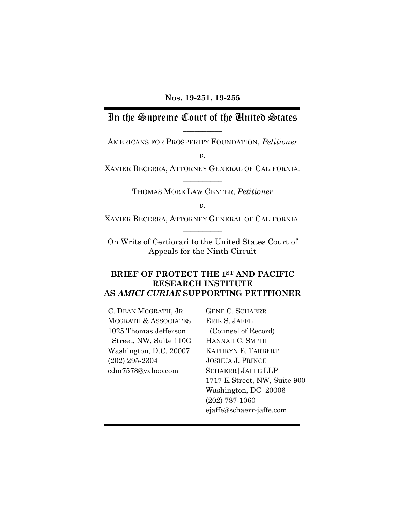## In the Supreme Court of the United States  $\overline{\phantom{a}}$   $\overline{\phantom{a}}$

AMERICANS FOR PROSPERITY FOUNDATION, *Petitioner*

*v.*

XAVIER BECERRA, ATTORNEY GENERAL OF CALIFORNIA*.*  $\overline{\phantom{a}}$   $\overline{\phantom{a}}$ 

THOMAS MORE LAW CENTER, *Petitioner*

*v.*

XAVIER BECERRA, ATTORNEY GENERAL OF CALIFORNIA*.*  $\overline{\phantom{a}}$   $\overline{\phantom{a}}$ 

On Writs of Certiorari to the United States Court of Appeals for the Ninth Circuit

 $\overline{\phantom{a}}$   $\overline{\phantom{a}}$ 

## **BRIEF OF PROTECT THE 1ST AND PACIFIC RESEARCH INSTITUTE AS** *AMICI CURIAE* **SUPPORTING PETITIONER**

C. DEAN MCGRATH, JR. MCGRATH & ASSOCIATES 1025 Thomas Jefferson Street, NW, Suite 110G Washington, D.C. 20007 (202) 295-2304 [cdm7578@yahoo.com](http://cdm7578@yahoo.com)

GENE C. SCHAERR ERIK S. JAFFE (Counsel of Record) HANNAH C. SMITH KATHRYN E. TARBERT JOSHUA J. PRINCE SCHAERR|JAFFE LLP 1717 K Street, NW, Suite 900 Washington, DC 20006 (202) 787-1060 [ejaffe@schaerr-jaffe.com](mailto:ejaffe@schaerr-jaffe.com)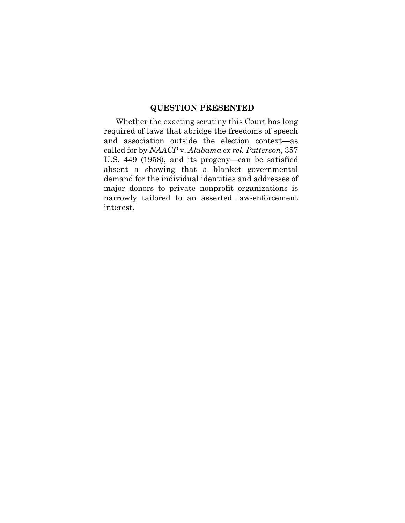## **QUESTION PRESENTED**

<span id="page-1-0"></span>Whether the exacting scrutiny this Court has long required of laws that abridge the freedoms of speech and association outside the election context—as called for by *NAACP* v. *Alabama ex rel. Patterson*, 357 U.S. 449 (1958), and its progeny—can be satisfied absent a showing that a blanket governmental demand for the individual identities and addresses of major donors to private nonprofit organizations is narrowly tailored to an asserted law-enforcement interest.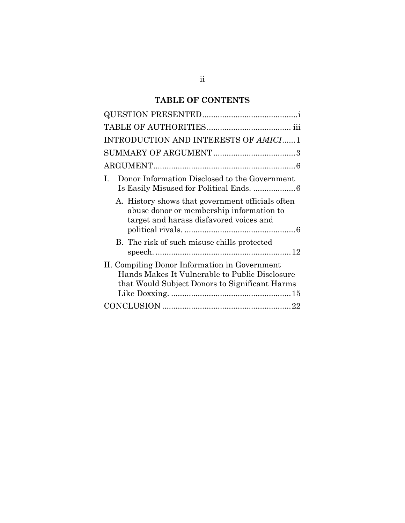# **TABLE OF CONTENTS**

| INTRODUCTION AND INTERESTS OF AMICI 1                                                                                                             |
|---------------------------------------------------------------------------------------------------------------------------------------------------|
|                                                                                                                                                   |
|                                                                                                                                                   |
| Donor Information Disclosed to the Government<br>L                                                                                                |
| A. History shows that government officials often<br>abuse donor or membership information to<br>target and harass disfavored voices and           |
| B. The risk of such misuse chills protected                                                                                                       |
| II. Compiling Donor Information in Government<br>Hands Makes It Vulnerable to Public Disclosure<br>that Would Subject Donors to Significant Harms |
|                                                                                                                                                   |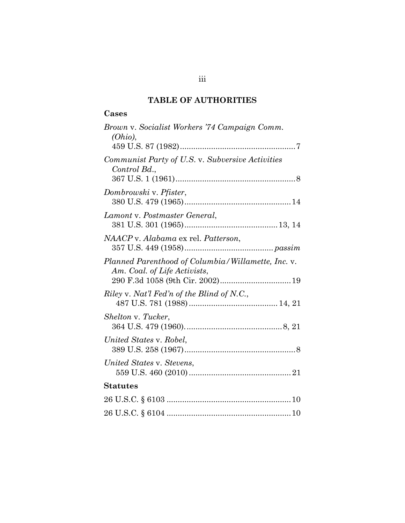## **TABLE OF AUTHORITIES**

## <span id="page-3-0"></span>**Cases**

| Brown v. Socialist Workers '74 Campaign Comm.<br>(Ohio),                           |
|------------------------------------------------------------------------------------|
| Communist Party of U.S. v. Subversive Activities<br>Control Bd.,                   |
| Dombrowski v. Pfister,                                                             |
| Lamont v. Postmaster General,                                                      |
| NAACP v. Alabama ex rel. Patterson,                                                |
| Planned Parenthood of Columbia/Willamette, Inc. v.<br>Am. Coal. of Life Activists, |
| Riley v. Nat'l Fed'n of the Blind of N.C.,                                         |
| Shelton v. Tucker,                                                                 |
| United States v. Robel,                                                            |
| United States v. Stevens,                                                          |
| Statutes                                                                           |
|                                                                                    |
|                                                                                    |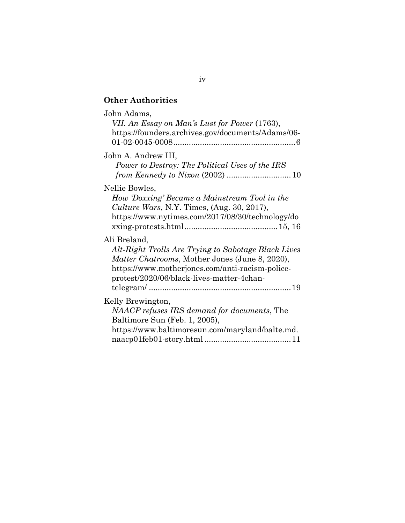# **Other Authorities**

| John Adams,<br>VII. An Essay on Man's Lust for Power (1763),<br>https://founders.archives.gov/documents/Adams/06-<br>$01-02-0045-0008\ldots$                                                                                 |
|------------------------------------------------------------------------------------------------------------------------------------------------------------------------------------------------------------------------------|
| John A. Andrew III,<br>Power to Destroy: The Political Uses of the IRS                                                                                                                                                       |
| Nellie Bowles,<br>How 'Doxxing' Became a Mainstream Tool in the<br><i>Culture Wars, N.Y. Times, (Aug. 30, 2017),</i><br>https://www.nytimes.com/2017/08/30/technology/do                                                     |
| Ali Breland,<br>Alt-Right Trolls Are Trying to Sabotage Black Lives<br><i>Matter Chatrooms, Mother Jones (June 8, 2020),</i><br>https://www.motherjones.com/anti-racism-police-<br>protest/2020/06/black-lives-matter-4chan- |
| Kelly Brewington,<br>NAACP refuses IRS demand for documents, The<br>Baltimore Sun (Feb. 1, 2005),<br>https://www.baltimoresun.com/maryland/balte.md.                                                                         |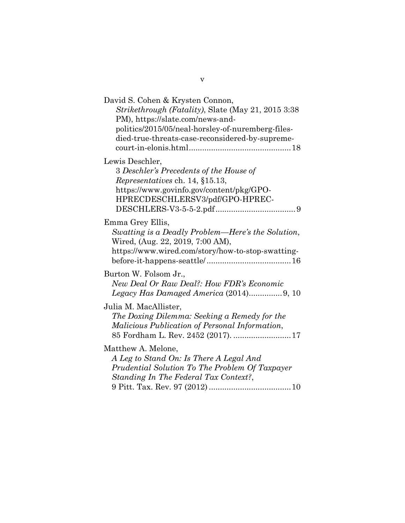| David S. Cohen & Krysten Connon,<br>Strikethrough (Fatality), Slate (May 21, 2015 3:38<br>PM), https://slate.com/news-and-<br>politics/2015/05/neal-horsley-of-nuremberg-files-<br>died-true-threats-case-reconsidered-by-supreme- |
|------------------------------------------------------------------------------------------------------------------------------------------------------------------------------------------------------------------------------------|
| Lewis Deschler,<br>3 Deschler's Precedents of the House of<br>Representatives ch. 14, §15.13,<br>https://www.govinfo.gov/content/pkg/GPO-<br>HPRECDESCHLERSV3/pdf/GPO-HPREC-                                                       |
| Emma Grey Ellis,<br>Swatting is a Deadly Problem—Here's the Solution,<br>Wired, (Aug. 22, 2019, 7:00 AM),<br>https://www.wired.com/story/how-to-stop-swatting-                                                                     |
| Burton W. Folsom Jr.,<br>New Deal Or Raw Deal?: How FDR's Economic                                                                                                                                                                 |
| Julia M. MacAllister,<br>The Doxing Dilemma: Seeking a Remedy for the<br>Malicious Publication of Personal Information,<br>85 Fordham L. Rev. 2452 (2017).  17                                                                     |
| Matthew A. Melone,<br>A Leg to Stand On: Is There A Legal And<br>Prudential Solution To The Problem Of Taxpayer<br>Standing In The Federal Tax Context?,                                                                           |

v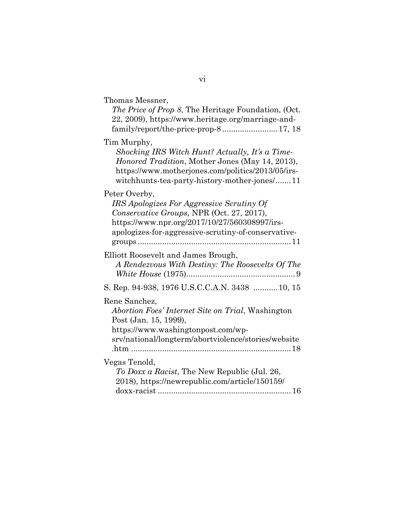| Thomas Messner,<br>The Price of Prop 8, The Heritage Foundation, (Oct.<br>22, 2009), https://www.heritage.org/marriage-and-                                                                                                                         |
|-----------------------------------------------------------------------------------------------------------------------------------------------------------------------------------------------------------------------------------------------------|
| Tim Murphy,<br>Shocking IRS Witch Hunt? Actually, It's a Time-<br>Honored Tradition, Mother Jones (May 14, 2013),<br>https://www.motherjones.com/politics/2013/05/irs-<br>witchhunts-tea-party-history-mother-jones/11                              |
| Peter Overby,<br>IRS Apologizes For Aggressive Scrutiny Of<br>Conservative Groups, NPR (Oct. 27, 2017),<br>https://www.npr.org/2017/10/27/560308997/irs-<br>apologizes-for-aggressive-scrutiny-of-conservative-<br>$groups \dots \dots \dots \dots$ |
| Elliott Roosevelt and James Brough,<br>A Rendezvous With Destiny: The Roosevelts Of The                                                                                                                                                             |
| S. Rep. 94-938, 1976 U.S.C.C.A.N. 3438  10, 15                                                                                                                                                                                                      |
| Rene Sanchez,<br>Abortion Foes' Internet Site on Trial, Washington<br>Post (Jan. 15, 1999),<br>https://www.washingtonpost.com/wp-<br>srv/national/longterm/abortviolence/stories/website                                                            |
| Vegas Tenold,<br>To Doxx a Racist, The New Republic (Jul. 26,<br>2018), https://newrepublic.com/article/150159/                                                                                                                                     |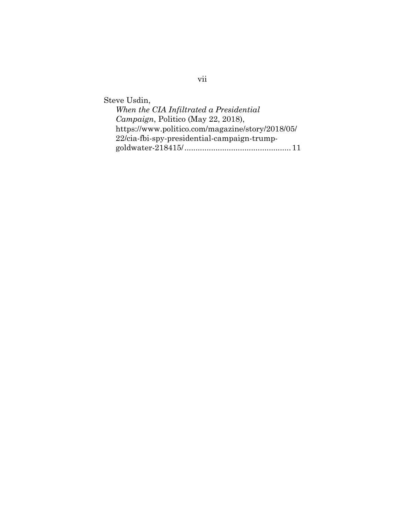Steve Usdin,

| When the CIA Infiltrated a Presidential          |
|--------------------------------------------------|
| Campaign, Politico (May 22, 2018),               |
| https://www.politico.com/magazine/story/2018/05/ |
| 22/cia-fbi-spy-presidential-campaign-trump-      |
|                                                  |

vii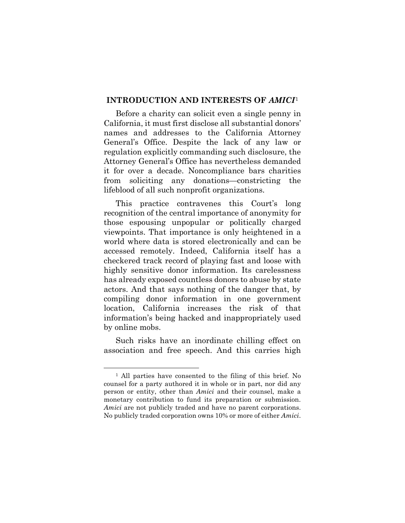#### <span id="page-8-0"></span>**INTRODUCTION AND INTERESTS OF** *AMICI*[1](#page-8-1)

Before a charity can solicit even a single penny in California, it must first disclose all substantial donors' names and addresses to the California Attorney General's Office. Despite the lack of any law or regulation explicitly commanding such disclosure, the Attorney General's Office has nevertheless demanded it for over a decade. Noncompliance bars charities from soliciting any donations—constricting the lifeblood of all such nonprofit organizations.

This practice contravenes this Court's long recognition of the central importance of anonymity for those espousing unpopular or politically charged viewpoints. That importance is only heightened in a world where data is stored electronically and can be accessed remotely. Indeed, California itself has a checkered track record of playing fast and loose with highly sensitive donor information. Its carelessness has already exposed countless donors to abuse by state actors. And that says nothing of the danger that, by compiling donor information in one government location, California increases the risk of that information's being hacked and inappropriately used by online mobs.

Such risks have an inordinate chilling effect on association and free speech. And this carries high

<span id="page-8-1"></span><sup>1</sup> All parties have consented to the filing of this brief. No counsel for a party authored it in whole or in part, nor did any person or entity, other than *Amici* and their counsel, make a monetary contribution to fund its preparation or submission. *Amici* are not publicly traded and have no parent corporations. No publicly traded corporation owns 10% or more of either *Amici*.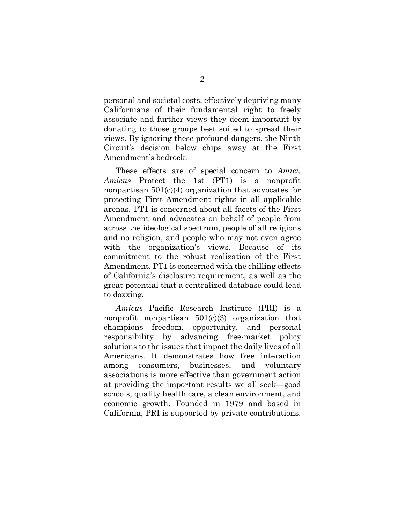personal and societal costs, effectively depriving many Californians of their fundamental right to freely associate and further views they deem important by donating to those groups best suited to spread their views. By ignoring these profound dangers, the Ninth Circuit's decision below chips away at the First Amendment's bedrock.

These effects are of special concern to *Amici. Amicus* Protect the 1st (PT1) is a nonprofit nonpartisan 501(c)(4) organization that advocates for protecting First Amendment rights in all applicable arenas. PT1 is concerned about all facets of the First Amendment and advocates on behalf of people from across the ideological spectrum, people of all religions and no religion, and people who may not even agree with the organization's views. Because of its commitment to the robust realization of the First Amendment, PT1 is concerned with the chilling effects of California's disclosure requirement, as well as the great potential that a centralized database could lead to doxxing.

*Amicus* Pacific Research Institute (PRI) is a nonprofit nonpartisan  $501(c)(3)$  organization that champions freedom, opportunity, and personal responsibility by advancing free-market policy solutions to the issues that impact the daily lives of all Americans. It demonstrates how free interaction among consumers, businesses, and voluntary associations is more effective than government action at providing the important results we all seek—good schools, quality health care, a clean environment, and economic growth. Founded in 1979 and based in California, PRI is supported by private contributions.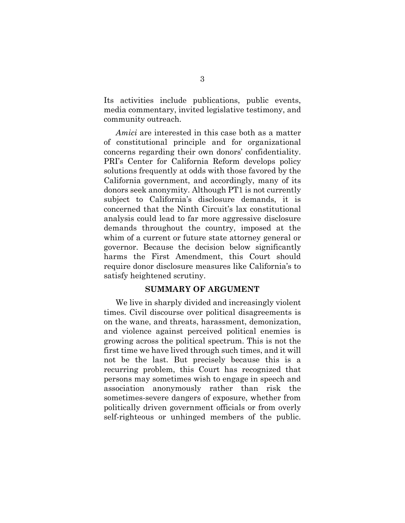Its activities include publications, public events, media commentary, invited legislative testimony, and community outreach.

*Amici* are interested in this case both as a matter of constitutional principle and for organizational concerns regarding their own donors' confidentiality. PRI's Center for California Reform develops policy solutions frequently at odds with those favored by the California government, and accordingly, many of its donors seek anonymity. Although PT1 is not currently subject to California's disclosure demands, it is concerned that the Ninth Circuit's lax constitutional analysis could lead to far more aggressive disclosure demands throughout the country, imposed at the whim of a current or future state attorney general or governor. Because the decision below significantly harms the First Amendment, this Court should require donor disclosure measures like California's to satisfy heightened scrutiny.

#### **SUMMARY OF ARGUMENT**

<span id="page-10-0"></span>We live in sharply divided and increasingly violent times. Civil discourse over political disagreements is on the wane, and threats, harassment, demonization, and violence against perceived political enemies is growing across the political spectrum. This is not the first time we have lived through such times, and it will not be the last. But precisely because this is a recurring problem, this Court has recognized that persons may sometimes wish to engage in speech and association anonymously rather than risk the sometimes-severe dangers of exposure, whether from politically driven government officials or from overly self-righteous or unhinged members of the public.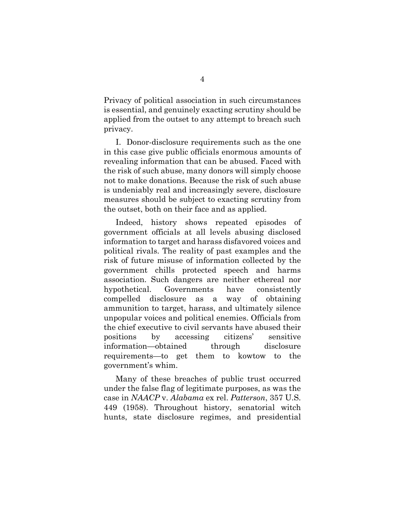Privacy of political association in such circumstances is essential, and genuinely exacting scrutiny should be applied from the outset to any attempt to breach such privacy.

I. Donor-disclosure requirements such as the one in this case give public officials enormous amounts of revealing information that can be abused. Faced with the risk of such abuse, many donors will simply choose not to make donations. Because the risk of such abuse is undeniably real and increasingly severe, disclosure measures should be subject to exacting scrutiny from the outset, both on their face and as applied.

Indeed, history shows repeated episodes of government officials at all levels abusing disclosed information to target and harass disfavored voices and political rivals. The reality of past examples and the risk of future misuse of information collected by the government chills protected speech and harms association. Such dangers are neither ethereal nor hypothetical. Governments have consistently compelled disclosure as a way of obtaining ammunition to target, harass, and ultimately silence unpopular voices and political enemies. Officials from the chief executive to civil servants have abused their positions by accessing citizens' sensitive information—obtained through disclosure requirements—to get them to kowtow to the government's whim.

Many of these breaches of public trust occurred under the false flag of legitimate purposes, as was the case in *NAACP* v. *Alabama* ex rel. *Patterson*, 357 U.S. 449 (1958). Throughout history, senatorial witch hunts, state disclosure regimes, and presidential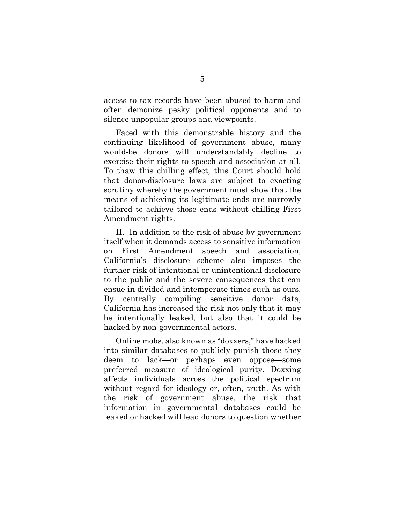access to tax records have been abused to harm and often demonize pesky political opponents and to silence unpopular groups and viewpoints.

Faced with this demonstrable history and the continuing likelihood of government abuse, many would-be donors will understandably decline to exercise their rights to speech and association at all. To thaw this chilling effect, this Court should hold that donor-disclosure laws are subject to exacting scrutiny whereby the government must show that the means of achieving its legitimate ends are narrowly tailored to achieve those ends without chilling First Amendment rights.

II. In addition to the risk of abuse by government itself when it demands access to sensitive information on First Amendment speech and association, California's disclosure scheme also imposes the further risk of intentional or unintentional disclosure to the public and the severe consequences that can ensue in divided and intemperate times such as ours. By centrally compiling sensitive donor data, California has increased the risk not only that it may be intentionally leaked, but also that it could be hacked by non-governmental actors.

Online mobs, also known as "doxxers," have hacked into similar databases to publicly punish those they deem to lack—or perhaps even oppose—some preferred measure of ideological purity. Doxxing affects individuals across the political spectrum without regard for ideology or, often, truth. As with the risk of government abuse, the risk that information in governmental databases could be leaked or hacked will lead donors to question whether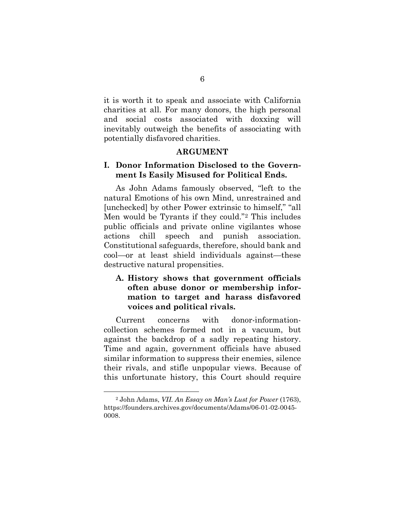it is worth it to speak and associate with California charities at all. For many donors, the high personal and social costs associated with doxxing will inevitably outweigh the benefits of associating with potentially disfavored charities.

#### **ARGUMENT**

### <span id="page-13-1"></span><span id="page-13-0"></span>**I. Donor Information Disclosed to the Government Is Easily Misused for Political Ends.**

As John Adams famously observed, "left to the natural Emotions of his own Mind, unrestrained and [unchecked] by other Power extrinsic to himself," "all Men would be Tyrants if they could."[2](#page-13-3) This includes public officials and private online vigilantes whose actions chill speech and punish association. Constitutional safeguards, therefore, should bank and cool—or at least shield individuals against—these destructive natural propensities.

## <span id="page-13-2"></span>**A. History shows that government officials often abuse donor or membership information to target and harass disfavored voices and political rivals.**

Current concerns with donor-informationcollection schemes formed not in a vacuum, but against the backdrop of a sadly repeating history. Time and again, government officials have abused similar information to suppress their enemies, silence their rivals, and stifle unpopular views. Because of this unfortunate history, this Court should require

<span id="page-13-3"></span><sup>2</sup> John Adams, *VII. An Essay on Man's Lust for Power* (1763), [https://founders.archives.gov/documents/Adams/06-01-02-0045-](https://founders.archives.gov/documents/Adams/06-01-02-0045-0008) [0008.](https://founders.archives.gov/documents/Adams/06-01-02-0045-0008)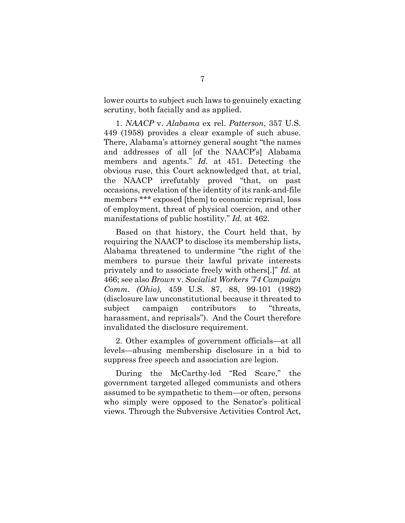lower courts to subject such laws to genuinely exacting scrutiny, both facially and as applied.

1. *NAACP* v. *Alabama* ex rel. *Patterson*, 357 U.S. 449 (1958) provides a clear example of such abuse. There, Alabama's attorney general sought "the names and addresses of all [of the NAACP's] Alabama members and agents." *Id.* at 451. Detecting the obvious ruse, this Court acknowledged that, at trial, the NAACP irrefutably proved "that, on past occasions, revelation of the identity of its rank-and-file members \*\*\* exposed [them] to economic reprisal, loss of employment, threat of physical coercion, and other manifestations of public hostility." *Id.* at 462.

Based on that history, the Court held that, by requiring the NAACP to disclose its membership lists, Alabama threatened to undermine "the right of the members to pursue their lawful private interests privately and to associate freely with others[.]" *Id.* at 466; see also *Brown* v. *Socialist Workers '74 Campaign Comm. (Ohio)*, 459 U.S. 87, 88, 99-101 (1982) (disclosure law unconstitutional because it threated to subject campaign contributors to "threats, harassment, and reprisals"). And the Court therefore invalidated the disclosure requirement.

2. Other examples of government officials—at all levels—abusing membership disclosure in a bid to suppress free speech and association are legion.

During the McCarthy-led "Red Scare," the government targeted alleged communists and others assumed to be sympathetic to them—or often, persons who simply were opposed to the Senator's political views. Through the Subversive Activities Control Act,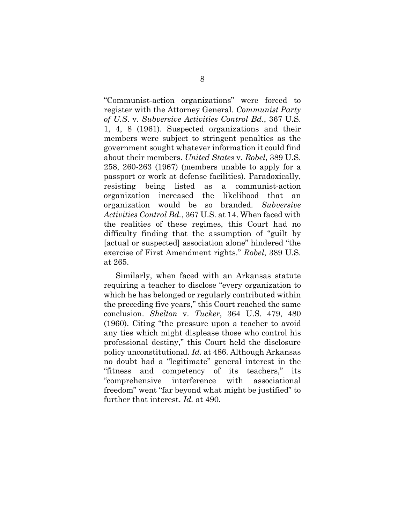"Communist-action organizations" were forced to register with the Attorney General. *Communist Party of U.S*. v. *Subversive Activities Control Bd*., 367 U.S. 1, 4, 8 (1961). Suspected organizations and their members were subject to stringent penalties as the government sought whatever information it could find about their members. *United States* v. *Robel*, 389 U.S. 258, 260-263 (1967) (members unable to apply for a passport or work at defense facilities). Paradoxically, resisting being listed as a communist-action organization increased the likelihood that an organization would be so branded. *Subversive Activities Control Bd.*, 367 U.S. at 14. When faced with the realities of these regimes, this Court had no difficulty finding that the assumption of "guilt by [actual or suspected] association alone" hindered "the exercise of First Amendment rights." *Robel*, 389 U.S. at 265.

Similarly, when faced with an Arkansas statute requiring a teacher to disclose "every organization to which he has belonged or regularly contributed within the preceding five years," this Court reached the same conclusion. *Shelton* v. *Tucker*, 364 U.S. 479, 480 (1960). Citing "the pressure upon a teacher to avoid any ties which might displease those who control his professional destiny," this Court held the disclosure policy unconstitutional. *Id.* at 486. Although Arkansas no doubt had a "legitimate" general interest in the "fitness and competency of its teachers," its "comprehensive interference with associational freedom" went "far beyond what might be justified" to further that interest. *Id.* at 490.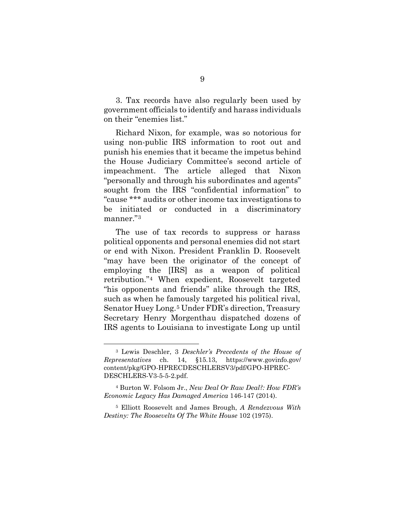3. Tax records have also regularly been used by government officials to identify and harass individuals on their "enemies list."

Richard Nixon, for example, was so notorious for using non-public IRS information to root out and punish his enemies that it became the impetus behind the House Judiciary Committee's second article of impeachment. The article alleged that Nixon "personally and through his subordinates and agents" sought from the IRS "confidential information" to "cause \*\*\* audits or other income tax investigations to be initiated or conducted in a discriminatory manner."[3](#page-16-0)

The use of tax records to suppress or harass political opponents and personal enemies did not start or end with Nixon. President Franklin D. Roosevelt "may have been the originator of the concept of employing the [IRS] as a weapon of political retribution."[4](#page-16-1) When expedient, Roosevelt targeted "his opponents and friends" alike through the IRS, such as when he famously targeted his political rival, Senator Huey Long.[5](#page-16-2) Under FDR's direction, Treasury Secretary Henry Morgenthau dispatched dozens of IRS agents to Louisiana to investigate Long up until

<span id="page-16-0"></span><sup>3</sup> Lewis Deschler, 3 *Deschler's Precedents of the House of Representatives* ch. 14, §15.13, [https://www.govinfo.gov/](https://www.govinfo.gov/content/pkg/GPO-HPREC-DESCHLERS-V3/html/GPO-HPREC-DESCHLERS-V3-5-5-2.htm) [content/pkg/GPO-HPRECDESCHLERSV3/pdf/GPO-HPREC-](https://www.govinfo.gov/content/pkg/GPO-HPREC-DESCHLERS-V3/html/GPO-HPREC-DESCHLERS-V3-5-5-2.htm)[DESCHLERS-V3-5-5-2.pdf.](https://www.govinfo.gov/content/pkg/GPO-HPREC-DESCHLERS-V3/html/GPO-HPREC-DESCHLERS-V3-5-5-2.htm)

<span id="page-16-1"></span><sup>4</sup> Burton W. Folsom Jr., *New Deal Or Raw Deal?: How FDR's Economic Legacy Has Damaged America* 146-147 (2014).

<span id="page-16-2"></span><sup>5</sup> Elliott Roosevelt and James Brough, *A Rendezvous With Destiny: The Roosevelts Of The White House* 102 (1975).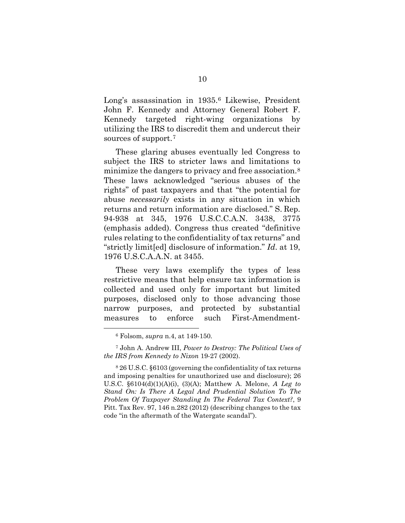Long's assassination in 1935.[6](#page-17-0) Likewise, President John F. Kennedy and Attorney General Robert F. Kennedy targeted right-wing organizations by utilizing the IRS to discredit them and undercut their sources of support.[7](#page-17-1)

These glaring abuses eventually led Congress to subject the IRS to stricter laws and limitations to minimize the dangers to privacy and free association.[8](#page-17-2) These laws acknowledged "serious abuses of the rights" of past taxpayers and that "the potential for abuse *necessarily* exists in any situation in which returns and return information are disclosed." S. Rep. 94-938 at 345, 1976 U.S.C.C.A.N. 3438, 3775 (emphasis added). Congress thus created "definitive rules relating to the confidentiality of tax returns" and "strictly limit[ed] disclosure of information." *Id*. at 19, 1976 U.S.C.A.A.N. at 3455.

These very laws exemplify the types of less restrictive means that help ensure tax information is collected and used only for important but limited purposes, disclosed only to those advancing those narrow purposes, and protected by substantial measures to enforce such First-Amendment-

<sup>6</sup> Folsom, *supra* n.4, at 149-150.

<span id="page-17-1"></span><span id="page-17-0"></span><sup>7</sup> John A. Andrew III, *Power to Destroy: The Political Uses of the IRS from Kennedy to Nixon* 19-27 (2002).

<span id="page-17-2"></span><sup>8</sup> 26 U.S.C. §6103 (governing the confidentiality of tax returns and imposing penalties for unauthorized use and disclosure); 26 U.S.C. §6104(d)(1)(A)(i), (3)(A); Matthew A. Melone, *A Leg to Stand On: Is There A Legal And Prudential Solution To The Problem Of Taxpayer Standing In The Federal Tax Context?*, 9 Pitt. Tax Rev. 97, 146 n.282 (2012) (describing changes to the tax code "in the aftermath of the Watergate scandal").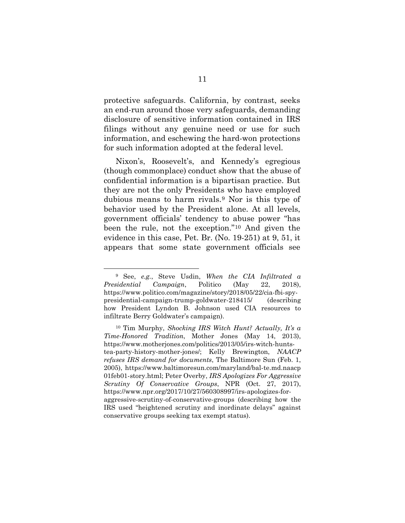protective safeguards. California, by contrast, seeks an end-run around those very safeguards, demanding disclosure of sensitive information contained in IRS filings without any genuine need or use for such information, and eschewing the hard-won protections for such information adopted at the federal level.

Nixon's, Roosevelt's, and Kennedy's egregious (though commonplace) conduct show that the abuse of confidential information is a bipartisan practice. But they are not the only Presidents who have employed dubious means to harm rivals.[9](#page-18-0) Nor is this type of behavior used by the President alone. At all levels, government officials' tendency to abuse power "has been the rule, not the exception."[10](#page-18-1) And given the evidence in this case, Pet. Br. (No. 19-251) at 9, 51, it appears that some state government officials see

<span id="page-18-0"></span><sup>9</sup> See, *e.g.*, Steve Usdin, *When the CIA Infiltrated a Presidential Campaign*, Politico (May 22, 2018), [https://www.politico.com/magazine/story/2018/05/22/cia-fbi-spy](https://www.politico.com/magazine/story/2018/05/22/cia-fbi-spy-presidential-campaign-trump-goldwater-218415/)[presidential-campaign-trump-goldwater-218415/](https://www.politico.com/magazine/story/2018/05/22/cia-fbi-spy-presidential-campaign-trump-goldwater-218415/) (describing how President Lyndon B. Johnson used CIA resources to infiltrate Berry Goldwater's campaign).

<span id="page-18-1"></span><sup>10</sup> Tim Murphy, *Shocking IRS Witch Hunt? Actually, It's a Time-Honored Tradition*, Mother Jones (May 14, 2013), [https://www.motherjones.com/politics/2013/05/irs-witch-hunts](https://www.motherjones.com/politics/2013/05/irs-witch-hunts-tea-party-history-mother-jones/)[tea-party-history-mother-jones/;](https://www.motherjones.com/politics/2013/05/irs-witch-hunts-tea-party-history-mother-jones/) Kelly Brewington, *NAACP refuses IRS demand for documents*, The Baltimore Sun (Feb. 1, 2005), [https://www.baltimoresun.com/maryland/bal-te.md.naacp](https://www.baltimoresun.com/maryland/bal-te.md.naacp01feb01-story.html) [01feb01-story.html;](https://www.baltimoresun.com/maryland/bal-te.md.naacp01feb01-story.html) Peter Overby, *IRS Apologizes For Aggressive Scrutiny Of Conservative Groups*, NPR (Oct. 27, 2017), [https://www.npr.org/2017/10/27/560308997/irs-apologizes-for](https://www.npr.org/2017/10/27/560308997/irs-apologizes-for-aggressive-scrutiny-of-conservative-groups)[aggressive-scrutiny-of-conservative-groups](https://www.npr.org/2017/10/27/560308997/irs-apologizes-for-aggressive-scrutiny-of-conservative-groups) (describing how the IRS used "heightened scrutiny and inordinate delays" against conservative groups seeking tax exempt status).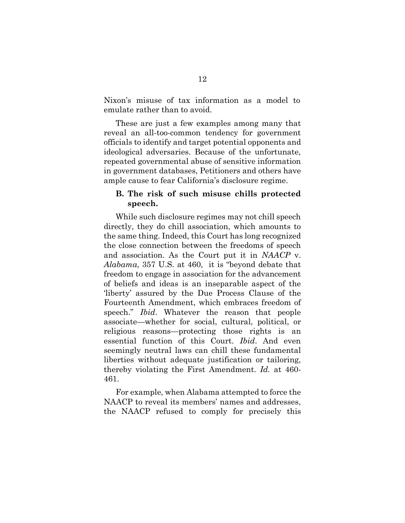Nixon's misuse of tax information as a model to emulate rather than to avoid.

These are just a few examples among many that reveal an all-too-common tendency for government officials to identify and target potential opponents and ideological adversaries. Because of the unfortunate, repeated governmental abuse of sensitive information in government databases, Petitioners and others have ample cause to fear California's disclosure regime.

#### <span id="page-19-0"></span>**B. The risk of such misuse chills protected speech.**

While such disclosure regimes may not chill speech directly, they do chill association, which amounts to the same thing. Indeed, this Court has long recognized the close connection between the freedoms of speech and association. As the Court put it in *NAACP* v. *Alabama*, 357 U.S. at 460, it is "beyond debate that freedom to engage in association for the advancement of beliefs and ideas is an inseparable aspect of the 'liberty' assured by the Due Process Clause of the Fourteenth Amendment, which embraces freedom of speech." *Ibid*. Whatever the reason that people associate—whether for social, cultural, political, or religious reasons—protecting those rights is an essential function of this Court. *Ibid*. And even seemingly neutral laws can chill these fundamental liberties without adequate justification or tailoring, thereby violating the First Amendment. *Id.* at 460- 461.

For example, when Alabama attempted to force the NAACP to reveal its members' names and addresses, the NAACP refused to comply for precisely this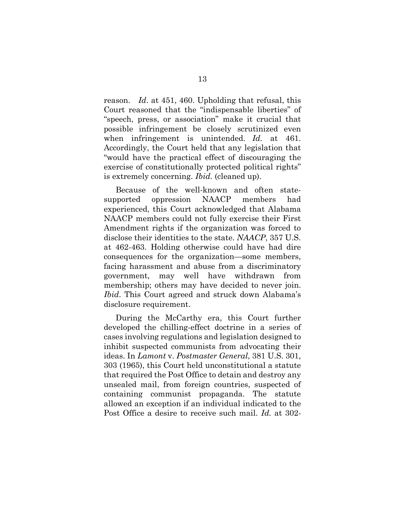reason. *Id*. at 451, 460. Upholding that refusal, this Court reasoned that the "indispensable liberties" of "speech, press, or association" make it crucial that possible infringement be closely scrutinized even when infringement is unintended. *Id.* at 461. Accordingly, the Court held that any legislation that "would have the practical effect of discouraging the exercise of constitutionally protected political rights" is extremely concerning. *Ibid.* (cleaned up).

Because of the well-known and often statesupported oppression NAACP members had experienced, this Court acknowledged that Alabama NAACP members could not fully exercise their First Amendment rights if the organization was forced to disclose their identities to the state. *NAACP*, 357 U.S. at 462-463. Holding otherwise could have had dire consequences for the organization—some members, facing harassment and abuse from a discriminatory government, may well have withdrawn from membership; others may have decided to never join. *Ibid*. This Court agreed and struck down Alabama's disclosure requirement.

During the McCarthy era, this Court further developed the chilling-effect doctrine in a series of cases involving regulations and legislation designed to inhibit suspected communists from advocating their ideas. In *Lamont* v. *Postmaster General*, 381 U.S. 301, 303 (1965), this Court held unconstitutional a statute that required the Post Office to detain and destroy any unsealed mail, from foreign countries, suspected of containing communist propaganda. The statute allowed an exception if an individual indicated to the Post Office a desire to receive such mail. *Id.* at 302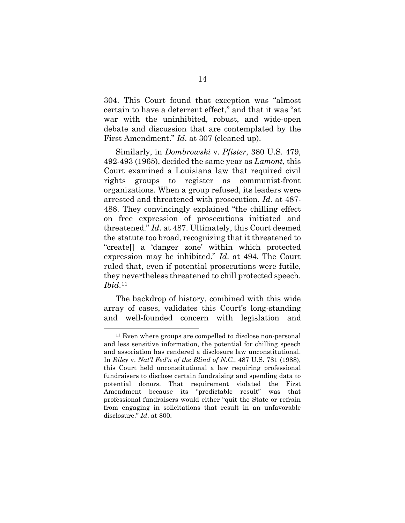304. This Court found that exception was "almost certain to have a deterrent effect," and that it was "at war with the uninhibited, robust, and wide-open debate and discussion that are contemplated by the First Amendment." *Id*. at 307 (cleaned up).

Similarly, in *Dombrowski* v. *Pfister*, 380 U.S. 479, 492-493 (1965), decided the same year as *Lamont*, this Court examined a Louisiana law that required civil rights groups to register as communist-front organizations. When a group refused, its leaders were arrested and threatened with prosecution. *Id.* at 487- 488. They convincingly explained "the chilling effect on free expression of prosecutions initiated and threatened." *Id*. at 487. Ultimately, this Court deemed the statute too broad, recognizing that it threatened to "create[] a 'danger zone' within which protected expression may be inhibited." *Id*. at 494. The Court ruled that, even if potential prosecutions were futile, they nevertheless threatened to chill protected speech. *Ibid*.[11](#page-21-0) 

The backdrop of history, combined with this wide array of cases, validates this Court's long-standing and well-founded concern with legislation and

<span id="page-21-0"></span><sup>11</sup> Even where groups are compelled to disclose non-personal and less sensitive information, the potential for chilling speech and association has rendered a disclosure law unconstitutional. In *Riley* v. *Nat'l Fed'n of the Blind of N.C.*, 487 U.S. 781 (1988), this Court held unconstitutional a law requiring professional fundraisers to disclose certain fundraising and spending data to potential donors. That requirement violated the First Amendment because its "predictable result" was that professional fundraisers would either "quit the State or refrain from engaging in solicitations that result in an unfavorable disclosure." *Id*. at 800.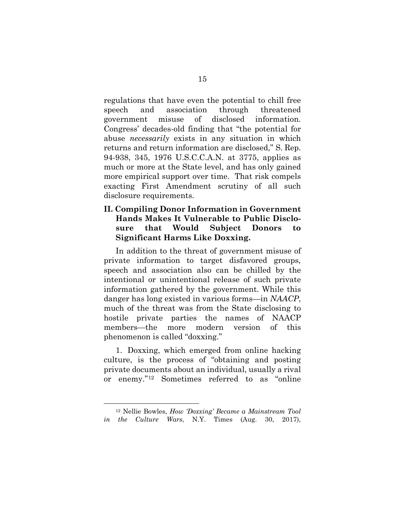regulations that have even the potential to chill free speech and association through threatened government misuse of disclosed information. Congress' decades-old finding that "the potential for abuse *necessarily* exists in any situation in which returns and return information are disclosed," S. Rep. 94-938, 345, 1976 U.S.C.C.A.N. at 3775, applies as much or more at the State level, and has only gained more empirical support over time. That risk compels exacting First Amendment scrutiny of all such disclosure requirements.

## <span id="page-22-0"></span>**II. Compiling Donor Information in Government Hands Makes It Vulnerable to Public Disclosure that Would Subject Donors to Significant Harms Like Doxxing.**

In addition to the threat of government misuse of private information to target disfavored groups, speech and association also can be chilled by the intentional or unintentional release of such private information gathered by the government. While this danger has long existed in various forms—in *NAACP*, much of the threat was from the State disclosing to hostile private parties the names of NAACP members—the more modern version of this phenomenon is called "doxxing."

1. Doxxing, which emerged from online hacking culture, is the process of "obtaining and posting private documents about an individual, usually a rival or enemy."[12](#page-22-1) Sometimes referred to as "online

<span id="page-22-1"></span><sup>12</sup> Nellie Bowles, *How 'Doxxing' Became a Mainstream Tool in the Culture Wars*, N.Y. Times (Aug. 30, 2017),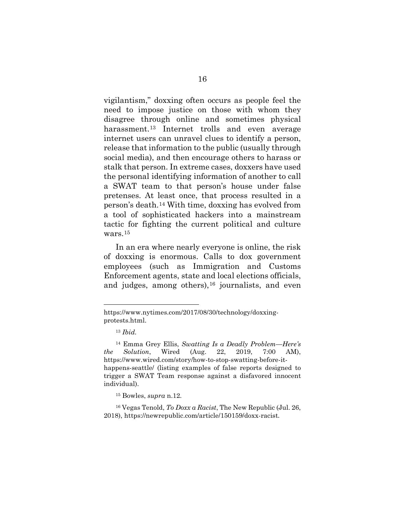vigilantism," doxxing often occurs as people feel the need to impose justice on those with whom they disagree through online and sometimes physical harassment.[13](#page-23-0) Internet trolls and even average internet users can unravel clues to identify a person, release that information to the public (usually through social media), and then encourage others to harass or stalk that person. In extreme cases, doxxers have used the personal identifying information of another to call a SWAT team to that person's house under false pretenses. At least once, that process resulted in a person's death.[14](#page-23-1) With time, doxxing has evolved from a tool of sophisticated hackers into a mainstream tactic for fighting the current political and culture wars.[15](#page-23-2)

In an era where nearly everyone is online, the risk of doxxing is enormous. Calls to dox government employees (such as Immigration and Customs Enforcement agents, state and local elections officials, and judges, among others),  $16$  journalists, and even

<span id="page-23-0"></span>[https://www.nytimes.com/2017/08/30/technology/doxxing](https://www.nytimes.com/2017/08/30/technology/doxxing-protests.html)[protests.html.](https://www.nytimes.com/2017/08/30/technology/doxxing-protests.html)

<sup>13</sup> *Ibid.*

<span id="page-23-1"></span><sup>14</sup> Emma Grey Ellis, *Swatting Is a Deadly Problem—Here's the Solution*, Wired (Aug. 22, 2019, 7:00 AM), [https://www.wired.com/story/how-to-stop-swatting-before-it](https://www.wired.com/story/how-to-stop-swatting-before-it-happens-seattle/)[happens-seattle/](https://www.wired.com/story/how-to-stop-swatting-before-it-happens-seattle/) (listing examples of false reports designed to trigger a SWAT Team response against a disfavored innocent individual).

<sup>15</sup> Bowles, *supra* n.12*.*

<span id="page-23-3"></span><span id="page-23-2"></span><sup>16</sup> Vegas Tenold, *To Doxx a Racist*, The New Republic (Jul. 26, 2018),<https://newrepublic.com/article/150159/doxx-racist>*.*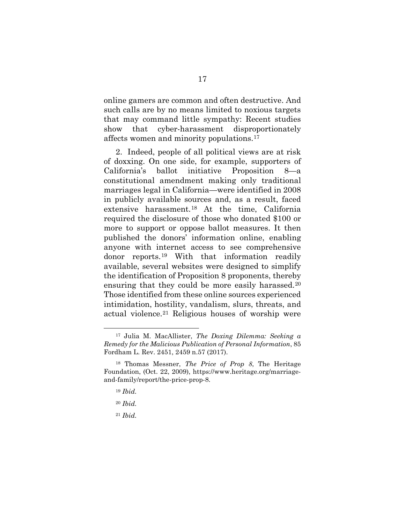online gamers are common and often destructive. And such calls are by no means limited to noxious targets that may command little sympathy: Recent studies show that cyber-harassment disproportionately affects women and minority populations.[17](#page-24-0)

2. Indeed, people of all political views are at risk of doxxing. On one side, for example, supporters of California's ballot initiative Proposition 8—a constitutional amendment making only traditional marriages legal in California—were identified in 2008 in publicly available sources and, as a result, faced extensive harassment.[18](#page-24-1) At the time, California required the disclosure of those who donated \$100 or more to support or oppose ballot measures. It then published the donors' information online, enabling anyone with internet access to see comprehensive donor reports.[19](#page-24-2) With that information readily available, several websites were designed to simplify the identification of Proposition 8 proponents, thereby ensuring that they could be more easily harassed.<sup>[20](#page-24-3)</sup> Those identified from these online sources experienced intimidation, hostility, vandalism, slurs, threats, and actual violence.[21](#page-24-4) Religious houses of worship were

<span id="page-24-0"></span><sup>17</sup> Julia M. MacAllister, *The Doxing Dilemma: Seeking a Remedy for the Malicious Publication of Personal Information*, 85 Fordham L. Rev. 2451, 2459 n.57 (2017).

<span id="page-24-3"></span><span id="page-24-2"></span><span id="page-24-1"></span><sup>18</sup> Thomas Messner, *The Price of Prop 8*, The Heritage Foundation, (Oct. 22, 2009), [https://www.heritage.org/marriage](https://www.heritage.org/marriage-and-family/report/the-price-prop-8)[and-family/report/the-price-prop-8.](https://www.heritage.org/marriage-and-family/report/the-price-prop-8)

<sup>19</sup> *Ibid.*

<sup>20</sup> *Ibid.*

<span id="page-24-4"></span><sup>21</sup> *Ibid.*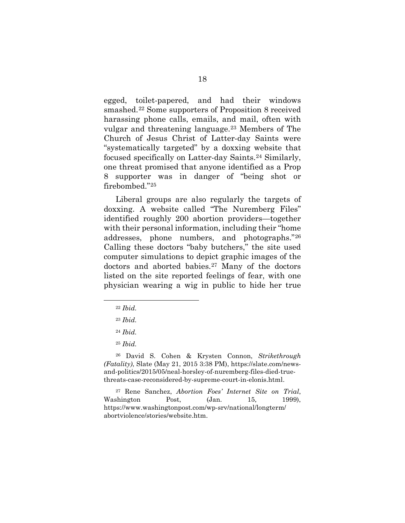egged, toilet-papered, and had their windows smashed.[22](#page-25-0) Some supporters of Proposition 8 received harassing phone calls, emails, and mail, often with vulgar and threatening language.[23](#page-25-1) Members of The Church of Jesus Christ of Latter-day Saints were "systematically targeted" by a doxxing website that focused specifically on Latter-day Saints.[24](#page-25-2) Similarly, one threat promised that anyone identified as a Prop 8 supporter was in danger of "being shot or firebombed."[25](#page-25-3)

Liberal groups are also regularly the targets of doxxing. A website called "The Nuremberg Files" identified roughly 200 abortion providers—together with their personal information, including their "home addresses, phone numbers, and photographs."[26](#page-25-4) Calling these doctors "baby butchers," the site used computer simulations to depict graphic images of the doctors and aborted babies[.27](#page-25-5) Many of the doctors listed on the site reported feelings of fear, with one physician wearing a wig in public to hide her true

<span id="page-25-0"></span><sup>22</sup> *Ibid.*

<sup>23</sup> *Ibid.*

<sup>24</sup> *Ibid.*

<sup>25</sup> *Ibid.*

<span id="page-25-4"></span><span id="page-25-3"></span><span id="page-25-2"></span><span id="page-25-1"></span><sup>26</sup> David S. Cohen & Krysten Connon, *Strikethrough (Fatality)*, Slate (May 21, 2015 3:38 PM), [https://slate.com/news](https://slate.com/news-and-politics/2015/05/neal-horsley-of-nuremberg-files-died-true-threats-case-reconsidered-by-supreme-court-in-elonis.html)[and-politics/2015/05/neal-horsley-of-nuremberg-files-died-true](https://slate.com/news-and-politics/2015/05/neal-horsley-of-nuremberg-files-died-true-threats-case-reconsidered-by-supreme-court-in-elonis.html)[threats-case-reconsidered-by-supreme-court-in-elonis.html.](https://slate.com/news-and-politics/2015/05/neal-horsley-of-nuremberg-files-died-true-threats-case-reconsidered-by-supreme-court-in-elonis.html)

<span id="page-25-5"></span><sup>27</sup> Rene Sanchez, *Abortion Foes' Internet Site on Trial*, Washington Post, (Jan. 15, 1999), [https://www.washingtonpost.com/wp-srv/national/longterm/](https://www.washingtonpost.com/wp-srv/national/longterm/abortviolence/stories/website.htm) [abortviolence/stories/website.htm.](https://www.washingtonpost.com/wp-srv/national/longterm/abortviolence/stories/website.htm)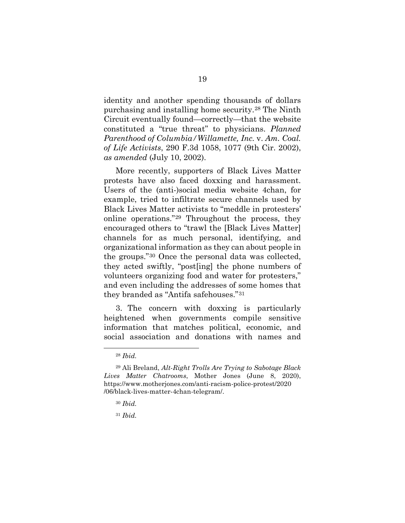identity and another spending thousands of dollars purchasing and installing home security.[28](#page-26-0) The Ninth Circuit eventually found—correctly—that the website constituted a "true threat" to physicians. *Planned Parenthood of Columbia/Willamette, Inc.* v. *Am. Coal. of Life Activists*, 290 F.3d 1058, 1077 (9th Cir. 2002), *as amended* (July 10, 2002).

More recently, supporters of Black Lives Matter protests have also faced doxxing and harassment. Users of the (anti-)social media website 4chan, for example, tried to infiltrate secure channels used by Black Lives Matter activists to "meddle in protesters' online operations."[29](#page-26-1) Throughout the process, they encouraged others to "trawl the [Black Lives Matter] channels for as much personal, identifying, and organizational information as they can about people in the groups."[30](#page-26-2) Once the personal data was collected, they acted swiftly, "post[ing] the phone numbers of volunteers organizing food and water for protesters," and even including the addresses of some homes that they branded as "Antifa safehouses."[31](#page-26-3) 

3. The concern with doxxing is particularly heightened when governments compile sensitive information that matches political, economic, and social association and donations with names and

<sup>28</sup> *Ibid.*

<span id="page-26-3"></span><span id="page-26-2"></span><span id="page-26-1"></span><span id="page-26-0"></span><sup>29</sup> Ali Breland, *Alt-Right Trolls Are Trying to Sabotage Black Lives Matter Chatrooms*, Mother Jones (June 8, 2020), [https://www.motherjones.com/anti-racism-police-protest/2020](https://www.motherjones.com/anti-racism-police-protest/2020/06/black-lives-matter-4chan-telegram/) [/06/black-lives-matter-4chan-telegram/.](https://www.motherjones.com/anti-racism-police-protest/2020/06/black-lives-matter-4chan-telegram/)

<sup>30</sup> *Ibid.*

<sup>31</sup> *Ibid.*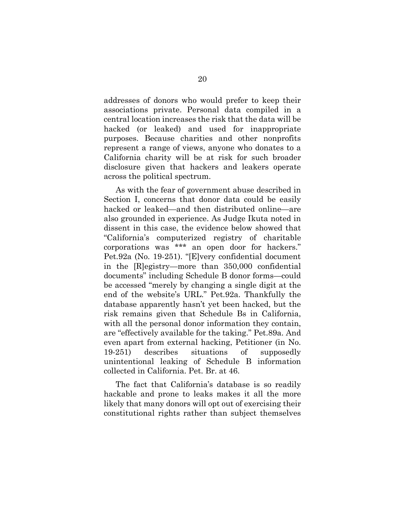addresses of donors who would prefer to keep their associations private. Personal data compiled in a central location increases the risk that the data will be hacked (or leaked) and used for inappropriate purposes. Because charities and other nonprofits represent a range of views, anyone who donates to a California charity will be at risk for such broader disclosure given that hackers and leakers operate across the political spectrum.

As with the fear of government abuse described in Section I, concerns that donor data could be easily hacked or leaked—and then distributed online—are also grounded in experience. As Judge Ikuta noted in dissent in this case, the evidence below showed that "California's computerized registry of charitable corporations was \*\*\* an open door for hackers." Pet.92a (No. 19-251). "[E]very confidential document in the [R]egistry—more than 350,000 confidential documents" including Schedule B donor forms—could be accessed "merely by changing a single digit at the end of the website's URL." Pet.92a. Thankfully the database apparently hasn't yet been hacked, but the risk remains given that Schedule Bs in California, with all the personal donor information they contain, are "effectively available for the taking." Pet.89a. And even apart from external hacking, Petitioner (in No. 19-251) describes situations of supposedly unintentional leaking of Schedule B information collected in California. Pet. Br. at 46.

The fact that California's database is so readily hackable and prone to leaks makes it all the more likely that many donors will opt out of exercising their constitutional rights rather than subject themselves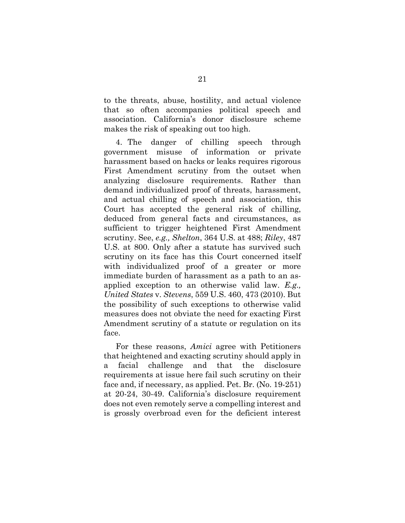to the threats, abuse, hostility, and actual violence that so often accompanies political speech and association. California's donor disclosure scheme makes the risk of speaking out too high.

4. The danger of chilling speech through government misuse of information or private harassment based on hacks or leaks requires rigorous First Amendment scrutiny from the outset when analyzing disclosure requirements. Rather than demand individualized proof of threats, harassment, and actual chilling of speech and association, this Court has accepted the general risk of chilling, deduced from general facts and circumstances, as sufficient to trigger heightened First Amendment scrutiny. See, *e.g., Shelton*, 364 U.S. at 488; *Riley*, 487 U.S. at 800. Only after a statute has survived such scrutiny on its face has this Court concerned itself with individualized proof of a greater or more immediate burden of harassment as a path to an asapplied exception to an otherwise valid law. *E.g., United States* v. *Stevens*, 559 U.S. 460, 473 (2010). But the possibility of such exceptions to otherwise valid measures does not obviate the need for exacting First Amendment scrutiny of a statute or regulation on its face.

For these reasons, *Amici* agree with Petitioners that heightened and exacting scrutiny should apply in a facial challenge and that the disclosure requirements at issue here fail such scrutiny on their face and, if necessary, as applied. Pet. Br. (No. 19-251) at 20-24, 30-49. California's disclosure requirement does not even remotely serve a compelling interest and is grossly overbroad even for the deficient interest